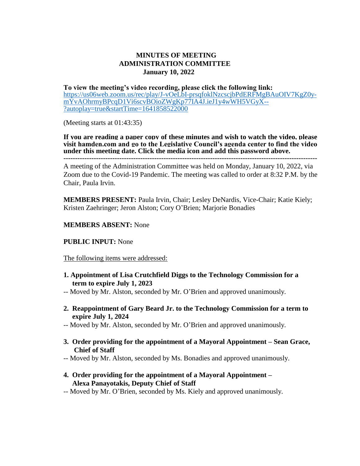## **MINUTES OF MEETING ADMINISTRATION COMMITTEE January 10, 2022**

**To view the meeting's video recording, please click the following link:** [https://us06web.zoom.us/rec/play/J-vOeLbI-prsqfoklNzcscjbPdERFMgBAuOIV7KgZ0y](https://us06web.zoom.us/rec/play/J-vOeLbI-prsqfoklNzcscjbPdERFMgBAuOIV7KgZ0y-mYvAOhrmyBPcqD1Vi6scvBOioZWgKp77IA4J.ieJ1y4wWH5VGyX--?autoplay=true&startTime=1641858522000)[mYvAOhrmyBPcqD1Vi6scvBOioZWgKp77IA4J.ieJ1y4wWH5VGyX--](https://us06web.zoom.us/rec/play/J-vOeLbI-prsqfoklNzcscjbPdERFMgBAuOIV7KgZ0y-mYvAOhrmyBPcqD1Vi6scvBOioZWgKp77IA4J.ieJ1y4wWH5VGyX--?autoplay=true&startTime=1641858522000) [?autoplay=true&startTime=1641858522000](https://us06web.zoom.us/rec/play/J-vOeLbI-prsqfoklNzcscjbPdERFMgBAuOIV7KgZ0y-mYvAOhrmyBPcqD1Vi6scvBOioZWgKp77IA4J.ieJ1y4wWH5VGyX--?autoplay=true&startTime=1641858522000)

(Meeting starts at 01:43:35)

**If you are reading a paper copy of these minutes and wish to watch the video, please visit hamden.com and go to the Legislative Council's agenda center to find the video under this meeting date. Click the media icon and add this password above.**

**-------------------------------------------------------------------------------------------------------------**

A meeting of the Administration Committee was held on Monday, January 10, 2022, via Zoom due to the Covid-19 Pandemic. The meeting was called to order at 8:32 P.M. by the Chair, Paula Irvin.

**MEMBERS PRESENT:** Paula Irvin, Chair; Lesley DeNardis, Vice-Chair; Katie Kiely; Kristen Zaehringer; Jeron Alston; Cory O'Brien; Marjorie Bonadies

## **MEMBERS ABSENT:** None

## **PUBLIC INPUT:** None

The following items were addressed:

**1. Appointment of Lisa Crutchfield Diggs to the Technology Commission for a term to expire July 1, 2023**

-- Moved by Mr. Alston, seconded by Mr. O'Brien and approved unanimously.

- **2. Reappointment of Gary Beard Jr. to the Technology Commission for a term to expire July 1, 2024**
- -- Moved by Mr. Alston, seconded by Mr. O'Brien and approved unanimously.
- **3. Order providing for the appointment of a Mayoral Appointment – Sean Grace, Chief of Staff**
- -- Moved by Mr. Alston, seconded by Ms. Bonadies and approved unanimously.
- **4. Order providing for the appointment of a Mayoral Appointment – Alexa Panayotakis, Deputy Chief of Staff**
- -- Moved by Mr. O'Brien, seconded by Ms. Kiely and approved unanimously.